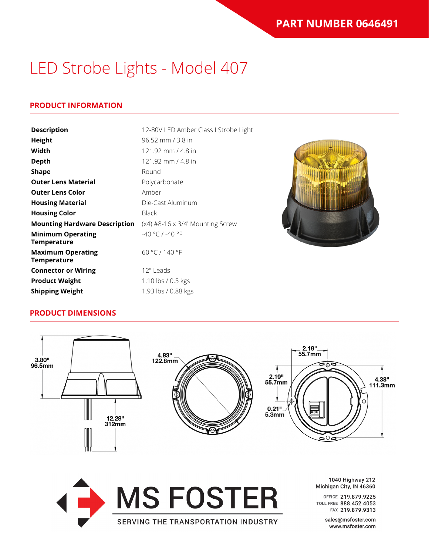### **PRODUCT INFORMATION**

| <b>Description</b>                             | 12-80V LED Amber Class I Strobe Light |  |
|------------------------------------------------|---------------------------------------|--|
| Height                                         | 96.52 mm / 3.8 in                     |  |
| Width                                          | 121.92 mm / 4.8 in                    |  |
| <b>Depth</b>                                   | 121.92 mm / 4.8 in                    |  |
| <b>Shape</b>                                   | Round                                 |  |
| <b>Outer Lens Material</b>                     | Polycarbonate                         |  |
| <b>Outer Lens Color</b>                        | Amber                                 |  |
| <b>Housing Material</b>                        | Die-Cast Aluminum                     |  |
| <b>Housing Color</b>                           | <b>Black</b>                          |  |
| <b>Mounting Hardware Description</b>           | $(x4)$ #8-16 x 3/4' Mounting Screw    |  |
| <b>Minimum Operating</b><br><b>Temperature</b> | $-40 °C / -40 °F$                     |  |
| <b>Maximum Operating</b><br>Temperature        | 60 °C / 140 °F                        |  |
| <b>Connector or Wiring</b>                     | 12" Leads                             |  |
| <b>Product Weight</b>                          | 1.10 lbs / 0.5 kgs                    |  |
| <b>Shipping Weight</b>                         | 1.93 lbs / 0.88 kgs                   |  |

#### **PRODUCT DIMENSIONS**



SERVING THE TRANSPORTATION INDUSTRY



1040 Highway 212 Michigan City, IN 46360

OFFICE 219.879.9225 TOLL FREE 888.452.4053 FAX 219.879.9313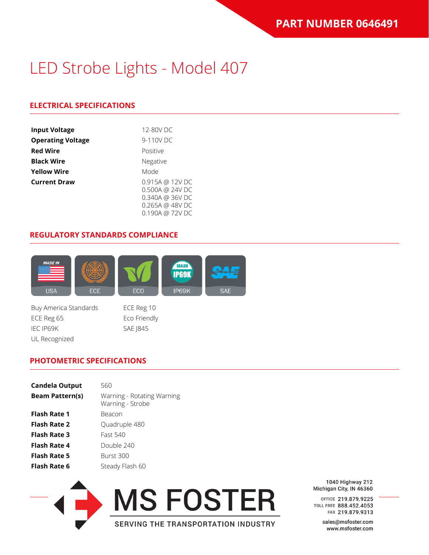### **ELECTRICAL SPECIFICATIONS**

| <b>Input Voltage</b>     | 12-80V DC                                                                |  |
|--------------------------|--------------------------------------------------------------------------|--|
| <b>Operating Voltage</b> | 9-110V DC                                                                |  |
| <b>Red Wire</b>          | Positive                                                                 |  |
| <b>Black Wire</b>        | Negative                                                                 |  |
| <b>Yellow Wire</b>       | Mode                                                                     |  |
| <b>Current Draw</b>      | 0.915A @ 12V DC<br>0.500A @ 24V DC<br>0.340A @ 36V DC<br>0.265A @ 48V DC |  |

#### **REGULATORY STANDARDS COMPLIANCE**



0.190A @ 72V DC

Buy America Standards ECE Reg 10 ECE Reg 65 Eco Friendly IEC IP69K SAE 1845 UL Recognized

#### **PHOTOMETRIC SPECIFICATIONS**

| Candela Output         | 560                                            |
|------------------------|------------------------------------------------|
| <b>Beam Pattern(s)</b> | Warning - Rotating Warning<br>Warning - Strobe |
| <b>Flash Rate 1</b>    | Beacon                                         |
| <b>Flash Rate 2</b>    | Quadruple 480                                  |
| <b>Flash Rate 3</b>    | Fast 540                                       |
| <b>Flash Rate 4</b>    | Double 240                                     |
| <b>Flash Rate 5</b>    | Burst 300                                      |
| <b>Flash Rate 6</b>    | Steady Flash 60                                |

**MS FOSTER** SERVING THE TRANSPORTATION INDUSTRY

1040 Highway 212 Michigan City, IN 46360

OFFICE 219.879.9225 TOLL FREE 888.452.4053 FAX 219.879.9313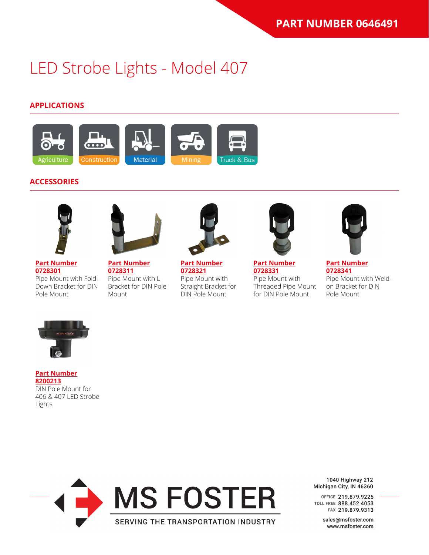### **APPLICATIONS**



### **ACCESSORIES**





**[Part Number](https://www.jwspeaker.com/products/led-strobe-lights-model-406/0728301/) [0728301](https://www.jwspeaker.com/products/led-strobe-lights-model-406/0728301/)** Pipe Mount with Fold-Down Bracket for DIN Pole Mount

**[Part Number](https://www.jwspeaker.com/products/led-strobe-lights-model-406/0728311/) [0728311](https://www.jwspeaker.com/products/led-strobe-lights-model-406/0728311/)** Pipe Mount with L Bracket for DIN Pole

Mount



**[Part Number](https://www.jwspeaker.com/products/led-strobe-lights-model-406/0728321/) [0728321](https://www.jwspeaker.com/products/led-strobe-lights-model-406/0728321/)** Pipe Mount with Straight Bracket for DIN Pole Mount



**[Part Number](https://www.jwspeaker.com/products/led-strobe-lights-model-406/0728331/) [0728331](https://www.jwspeaker.com/products/led-strobe-lights-model-406/0728331/)** Pipe Mount with Threaded Pipe Mount for DIN Pole Mount



**[Part Number](https://www.jwspeaker.com/products/led-strobe-lights-model-406/0728341/) [0728341](https://www.jwspeaker.com/products/led-strobe-lights-model-406/0728341/)** Pipe Mount with Weldon Bracket for DIN Pole Mount



#### **[Part Number](https://www.jwspeaker.com/products/led-strobe-lights-model-406/8200213/) [8200213](https://www.jwspeaker.com/products/led-strobe-lights-model-406/8200213/)** DIN Pole Mount for 406 & 407 LED Strobe Lights



1040 Highway 212 Michigan City, IN 46360

OFFICE 219.879.9225 TOLL FREE 888.452.4053 FAX 219.879.9313